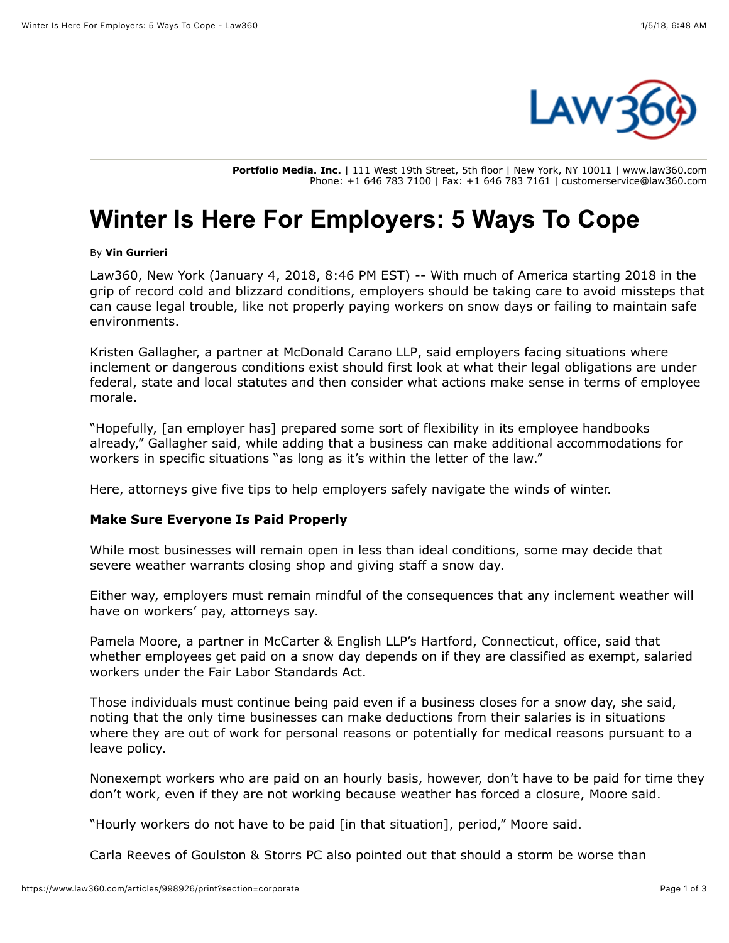

**Portfolio Media. Inc.** | 111 West 19th Street, 5th floor | New York, NY 10011 | www.law360.com Phone: +1 646 783 7100 | Fax: +1 646 783 7161 | customerservice@law360.com

# **Winter Is Here For Employers: 5 Ways To Cope**

By **Vin Gurrieri**

Law360, New York (January 4, 2018, 8:46 PM EST) -- With much of America starting 2018 in the grip of record cold and blizzard conditions, employers should be taking care to avoid missteps that can cause legal trouble, like not properly paying workers on snow days or failing to maintain safe environments.

Kristen Gallagher, a partner at [McDonald Carano LLP,](https://www.law360.com/firms/mcdonald-carano) said employers facing situations where inclement or dangerous conditions exist should first look at what their legal obligations are under federal, state and local statutes and then consider what actions make sense in terms of employee morale.

"Hopefully, [an employer has] prepared some sort of flexibility in its employee handbooks already," Gallagher said, while adding that a business can make additional accommodations for workers in specific situations "as long as it's within the letter of the law."

Here, attorneys give five tips to help employers safely navigate the winds of winter.

## **Make Sure Everyone Is Paid Properly**

While most businesses will remain open in less than ideal conditions, some may decide that severe weather warrants closing shop and giving staff a snow day.

Either way, employers must remain mindful of the consequences that any inclement weather will have on workers' pay, attorneys say.

Pamela Moore, a partner in [McCarter & English LLP's Hartford](https://www.law360.com/firms/mccarter-english), Connecticut, office, said that whether employees get paid on a snow day depends on if they are classified as exempt, salaried workers under the Fair Labor Standards Act.

Those individuals must continue being paid even if a business closes for a snow day, she said, noting that the only time businesses can make deductions from their salaries is in situations where they are out of work for personal reasons or potentially for medical reasons pursuant to a leave policy.

Nonexempt workers who are paid on an hourly basis, however, don't have to be paid for time they don't work, even if they are not working because weather has forced a closure, Moore said.

"Hourly workers do not have to be paid [in that situation], period," Moore said.

Carla Reeves of [Goulston & Storrs PC](https://www.law360.com/firms/goulston-storrs) also pointed out that should a storm be worse than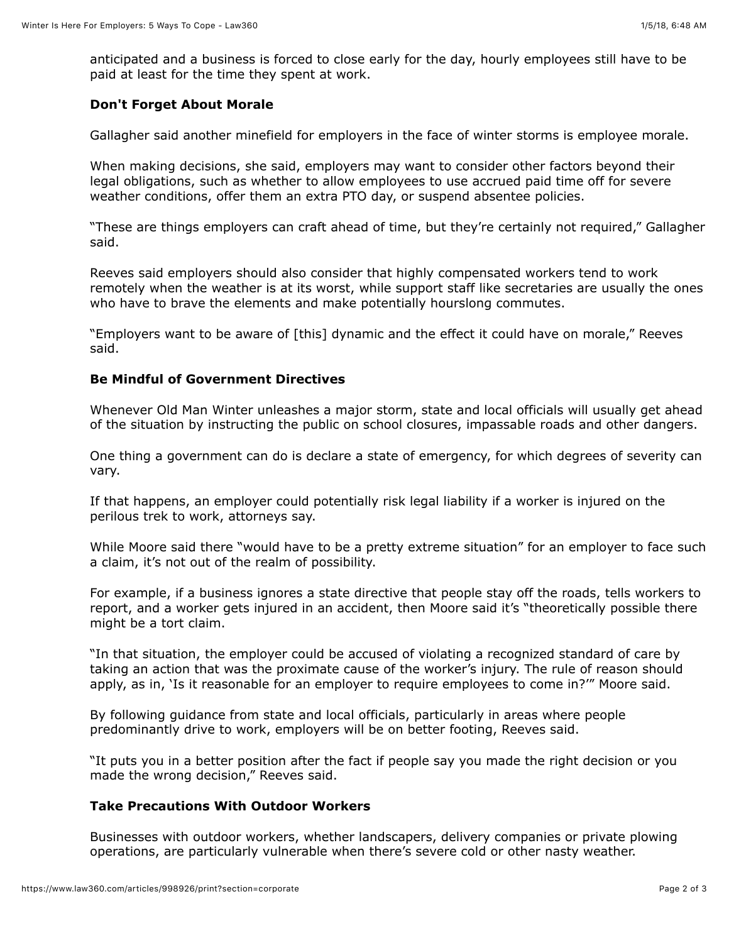anticipated and a business is forced to close early for the day, hourly employees still have to be paid at least for the time they spent at work.

#### **Don't Forget About Morale**

Gallagher said another minefield for employers in the face of winter storms is employee morale.

When making decisions, she said, employers may want to consider other factors beyond their legal obligations, such as whether to allow employees to use accrued paid time off for severe weather conditions, offer them an extra PTO day, or suspend absentee policies.

"These are things employers can craft ahead of time, but they're certainly not required," Gallagher said.

Reeves said employers should also consider that highly compensated workers tend to work remotely when the weather is at its worst, while support staff like secretaries are usually the ones who have to brave the elements and make potentially hourslong commutes.

"Employers want to be aware of [this] dynamic and the effect it could have on morale," Reeves said.

#### **Be Mindful of Government Directives**

Whenever Old Man Winter unleashes a major storm, state and local officials will usually get ahead of the situation by instructing the public on school closures, impassable roads and other dangers.

One thing a government can do is declare a state of emergency, for which degrees of severity can vary.

If that happens, an employer could potentially risk legal liability if a worker is injured on the perilous trek to work, attorneys say.

While Moore said there "would have to be a pretty extreme situation" for an employer to face such a claim, it's not out of the realm of possibility.

For example, if a business ignores a state directive that people stay off the roads, tells workers to report, and a worker gets injured in an accident, then Moore said it's "theoretically possible there might be a tort claim.

"In that situation, the employer could be accused of violating a recognized standard of care by taking an action that was the proximate cause of the worker's injury. The rule of reason should apply, as in, 'Is it reasonable for an employer to require employees to come in?'" Moore said.

By following guidance from state and local officials, particularly in areas where people predominantly drive to work, employers will be on better footing, Reeves said.

"It puts you in a better position after the fact if people say you made the right decision or you made the wrong decision," Reeves said.

# **Take Precautions With Outdoor Workers**

Businesses with outdoor workers, whether landscapers, delivery companies or private plowing operations, are particularly vulnerable when there's severe cold or other nasty weather.